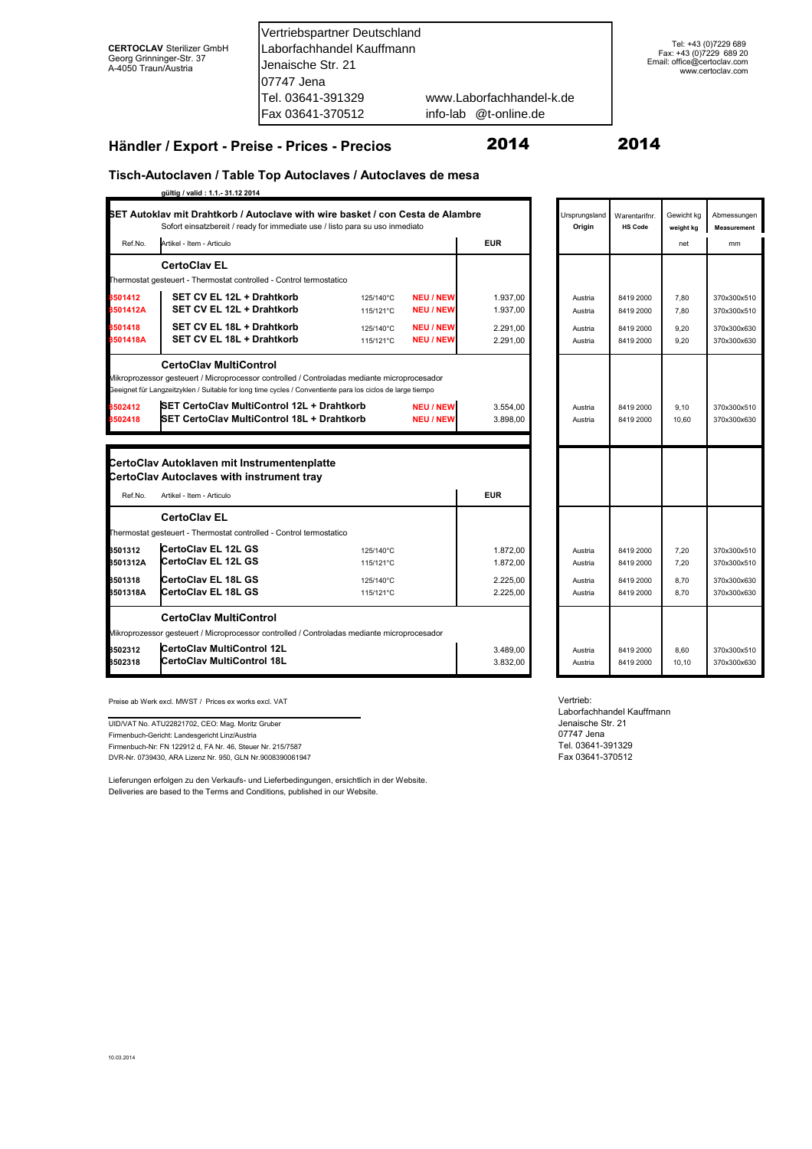Vertriebspartner Deutschland Laborfachhandel Kauffmann Jenaische Str. 21 07747 Jena Tel. 03641-391329 www.Laborfachhandel-k.de Fax 03641-370512 @t-online.de

#### **Händler / Export - Preise - Prices - Precios**

#### 2014 2014

## **Tisch-Autoclaven / Table Top Autoclaves / Autoclaves de mesa**

|          | gültig / valid: 1.1.- 31.12 2014                                                                                                                               |           |                  |            |                         |                                 |                         |                                   |
|----------|----------------------------------------------------------------------------------------------------------------------------------------------------------------|-----------|------------------|------------|-------------------------|---------------------------------|-------------------------|-----------------------------------|
|          | SET Autoklav mit Drahtkorb / Autoclave with wire basket / con Cesta de Alambre<br>Sofort einsatzbereit / ready for immediate use / listo para su uso inmediato |           |                  |            | Ursprungsland<br>Origin | Warentarifnr.<br><b>HS Code</b> | Gewicht kg<br>weight kg | Abmessunger<br><b>Measurement</b> |
| Ref.No.  | Artikel - Item - Articulo                                                                                                                                      |           |                  | <b>EUR</b> |                         |                                 | net                     | mm                                |
|          | <b>CertoClav EL</b>                                                                                                                                            |           |                  |            |                         |                                 |                         |                                   |
|          | Thermostat gesteuert - Thermostat controlled - Control termostatico                                                                                            |           |                  |            |                         |                                 |                         |                                   |
| 8501412  | SET CV EL 12L + Drahtkorb                                                                                                                                      | 125/140°C | <b>NEU / NEW</b> | 1.937,00   | Austria                 | 8419 2000                       | 7,80                    | 370x300x510                       |
| 8501412A | SET CV EL 12L + Drahtkorb                                                                                                                                      | 115/121°C | <b>NEU / NEW</b> | 1.937,00   | Austria                 | 8419 2000                       | 7,80                    | 370x300x510                       |
| 8501418  | SET CV EL 18L + Drahtkorb                                                                                                                                      | 125/140°C | <b>NEU / NEW</b> | 2.291,00   | Austria                 | 8419 2000                       | 9,20                    | 370x300x630                       |
| 8501418A | SET CV EL 18L + Drahtkorb                                                                                                                                      | 115/121°C | <b>NEU / NEW</b> | 2.291,00   | Austria                 | 8419 2000                       | 9,20                    | 370x300x630                       |
|          | <b>CertoClav MultiControl</b>                                                                                                                                  |           |                  |            |                         |                                 |                         |                                   |
|          | Mikroprozessor gesteuert / Microprocessor controlled / Controladas mediante microprocesador                                                                    |           |                  |            |                         |                                 |                         |                                   |
|          | Geeignet für Langzeitzyklen / Suitable for long time cycles / Conventiente para los ciclos de large tiempo                                                     |           |                  |            |                         |                                 |                         |                                   |
| 8502412  | <b>ISET CertoClav MultiControl 12L + Drahtkorb</b>                                                                                                             |           | <b>NEU / NEW</b> | 3.554.00   | Austria                 | 8419 2000                       | 9.10                    | 370x300x510                       |
| 8502418  | <b>SET CertoClav MultiControl 18L + Drahtkorb</b>                                                                                                              |           | <b>NEU / NEW</b> | 3.898,00   | Austria                 | 8419 2000                       | 10,60                   | 370x300x630                       |
|          |                                                                                                                                                                |           |                  |            |                         |                                 |                         |                                   |
|          |                                                                                                                                                                |           |                  |            |                         |                                 |                         |                                   |
|          | CertoClav Autoklaven mit Instrumentenplatte                                                                                                                    |           |                  |            |                         |                                 |                         |                                   |
|          | CertoClav Autoclaves with instrument tray                                                                                                                      |           |                  |            |                         |                                 |                         |                                   |
| Ref.No.  | Artikel - Item - Articulo                                                                                                                                      |           |                  | <b>EUR</b> |                         |                                 |                         |                                   |
|          | <b>CertoClav EL</b>                                                                                                                                            |           |                  |            |                         |                                 |                         |                                   |
|          | Thermostat gesteuert - Thermostat controlled - Control termostatico                                                                                            |           |                  |            |                         |                                 |                         |                                   |
| 8501312  | CertoClav EL 12L GS                                                                                                                                            | 125/140°C |                  | 1.872,00   | Austria                 | 8419 2000                       | 7,20                    | 370x300x510                       |
| 8501312A | CertoClav EL 12L GS                                                                                                                                            | 115/121°C |                  | 1.872,00   | Austria                 | 8419 2000                       | 7,20                    | 370x300x510                       |
| 8501318  | <b>CertoClav EL 18L GS</b>                                                                                                                                     | 125/140°C |                  | 2.225.00   | Austria                 | 8419 2000                       | 8,70                    | 370x300x630                       |
| 8501318A | CertoClav EL 18L GS                                                                                                                                            | 115/121°C |                  | 2.225,00   | Austria                 | 8419 2000                       | 8,70                    | 370x300x630                       |
|          | <b>CertoClav MultiControl</b>                                                                                                                                  |           |                  |            |                         |                                 |                         |                                   |
|          | Mikroprozessor gesteuert / Microprocessor controlled / Controladas mediante microprocesador                                                                    |           |                  |            |                         |                                 |                         |                                   |
| 8502312  | CertoClav MultiControl 12L                                                                                                                                     |           |                  | 3.489.00   | Austria                 | 8419 2000                       | 8,60                    | 370x300x510                       |
| 8502318  | <b>ICertoClav MultiControl 18L</b>                                                                                                                             |           |                  | 3.832.00   | Austria                 | 8419 2000                       | 10.10                   | 370x300x630                       |
|          |                                                                                                                                                                |           |                  |            |                         |                                 |                         |                                   |

Preise ab Werk excl. MWST / Prices ex works excl. VAT

Firmenbuch-Gericht: Landesgericht Linz/Austria 07747 Jena UID/VAT No. ATU22821702, CEO: Mag. Moritz Gruber Firmenbuch-Nr: FN 122912 d, FA Nr. 46, Steuer Nr. 215/7587

DVR-Nr. 0739430, ARA Lizenz Nr. 950, GLN Nr.9008390061947

Lieferungen erfolgen zu den Verkaufs- und Lieferbedingungen, ersichtlich in der Website. Deliveries are based to the Terms and Conditions, published in our Website.

| Ursprungsland<br>Origin | Warentarifnr.<br><b>HS Code</b> | Gewicht kg<br>weight kg | Abmessungen<br><b>Measurement</b> |
|-------------------------|---------------------------------|-------------------------|-----------------------------------|
|                         |                                 | net                     | mm                                |
|                         |                                 |                         |                                   |
| Austria                 | 8419 2000                       | 7,80                    | 370x300x510                       |
| Austria                 | 8419 2000                       | 7,80                    | 370x300x510                       |
| Austria                 | 8419 2000                       | 9,20                    | 370x300x630                       |
| Austria                 | 8419 2000                       | 9,20                    | 370x300x630                       |
| Austria<br>Austria      | 8419 2000<br>8419 2000          | 9,10<br>10,60           | 370x300x510<br>370x300x630        |
|                         |                                 |                         |                                   |
|                         |                                 |                         |                                   |
| Austria                 | 8419 2000                       | 7,20                    | 370x300x510                       |
| Austria                 | 8419 2000                       | 7,20                    | 370x300x510                       |
| Austria                 | 8419 2000                       | 8,70                    | 370x300x630                       |
| Austria                 | 8419 2000                       | 8,70                    | 370x300x630                       |
| Austria<br>Austria      | 8419 2000<br>8419 2000          | 8,60<br>10,10           | 370x300x510<br>370x300x630        |
|                         |                                 |                         |                                   |

Vertrieb:

Jenaische Str. 21 Tel. 03641-391329 Fax 03641-370512 Laborfachhandel Kauffmann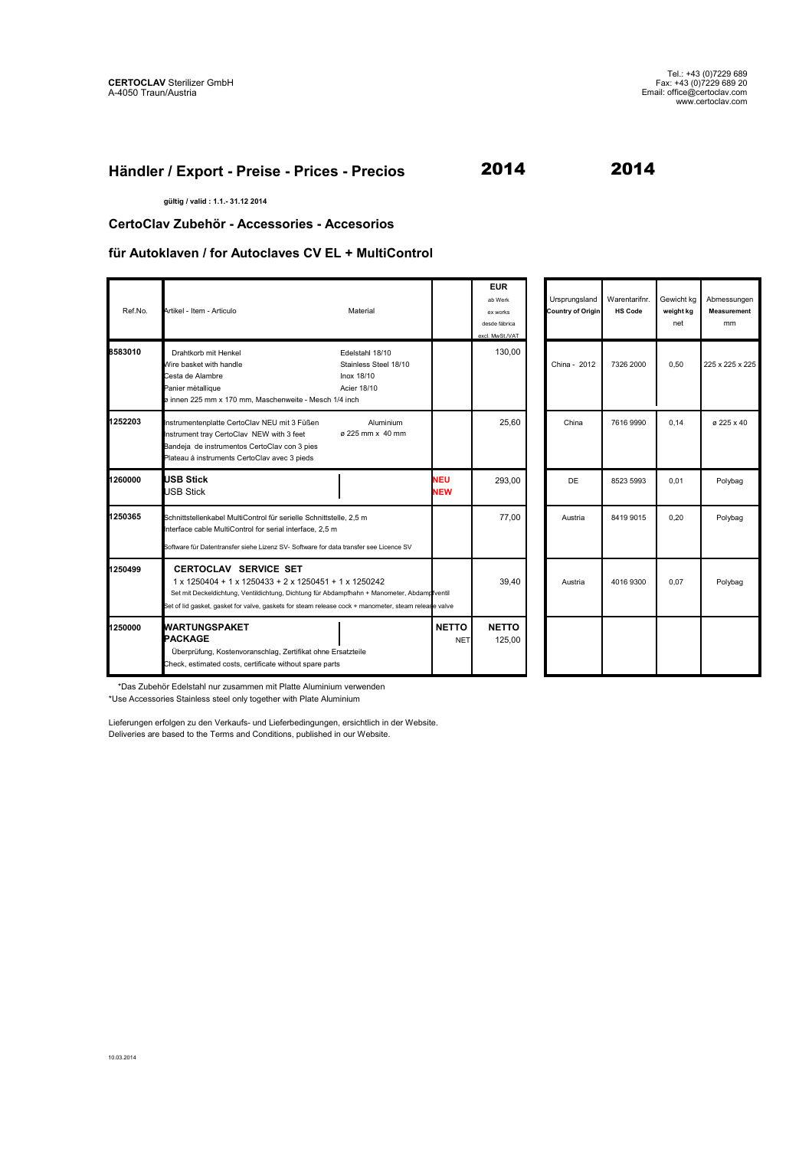### **Händler / Export - Preise - Prices - Precios**

2014 2014

**gültig / valid : 1.1.- 31.12 2014**

**CertoClav Zubehör - Accessories - Accesorios**

#### **für Autoklaven / for Autoclaves CV EL + MultiControl**

| Ref.No. | Artikel - Item - Articulo                                                                                                                                                                                                                                                                    | Material                                                              |                            | <b>EUR</b><br>ab Werk<br>ex works<br>desde fábrica<br>excl. MwSt./VAT | Ursprungsland<br>Country of Origin | Warentarifnr.<br><b>HS Code</b> | Gewicht kg<br>weight kg<br>net | Abmessungen<br><b>Measurement</b><br>mm |
|---------|----------------------------------------------------------------------------------------------------------------------------------------------------------------------------------------------------------------------------------------------------------------------------------------------|-----------------------------------------------------------------------|----------------------------|-----------------------------------------------------------------------|------------------------------------|---------------------------------|--------------------------------|-----------------------------------------|
| 8583010 | Drahtkorb mit Henkel<br>Wire basket with handle<br>Cesta de Alambre<br>Panier mètallique<br>ø innen 225 mm x 170 mm, Maschenweite - Mesch 1/4 inch                                                                                                                                           | Edelstahl 18/10<br>Stainless Steel 18/10<br>Inox 18/10<br>Acier 18/10 |                            | 130.00                                                                | China - 2012                       | 7326 2000                       | 0.50                           | 225 x 225 x 225                         |
| 1252203 | Instrumentenplatte CertoClav NEU mit 3 Füßen<br>Instrument tray CertoClav NEW with 3 feet<br>Bandeja de instrumentos CertoClav con 3 pies<br>Plateau á instruments CertoClav avec 3 pieds                                                                                                    | Aluminium<br>ø 225 mm x 40 mm                                         |                            | 25.60                                                                 | China                              | 7616 9990                       | 0.14                           | ø 225 x 40                              |
| 1260000 | <b>IUSB Stick</b><br><b>JSB Stick</b>                                                                                                                                                                                                                                                        |                                                                       | <b>NEU</b><br><b>NEW</b>   | 293.00                                                                | <b>DE</b>                          | 8523 5993                       | 0.01                           | Polybag                                 |
| 1250365 | Schnittstellenkabel MultiControl für serielle Schnittstelle, 2,5 m<br>Interface cable MultiControl for serial interface, 2,5 m<br>Software für Datentransfer siehe Lizenz SV- Software for data transfer see Licence SV                                                                      |                                                                       |                            | 77.00                                                                 | Austria                            | 8419 9015                       | 0.20                           | Polybag                                 |
| 1250499 | <b>CERTOCLAV SERVICE SET</b><br>1 x 1250404 + 1 x 1250433 + 2 x 1250451 + 1 x 1250242<br>Set mit Deckeldichtung, Ventildichtung, Dichtung für Abdampfhahn + Manometer, Abdampfventil<br>Set of lid gasket, gasket for valve, gaskets for steam release cock + manometer, steam release valve |                                                                       |                            | 39.40                                                                 | Austria                            | 4016 9300                       | 0.07                           | Polybag                                 |
| 1250000 | <b>WARTUNGSPAKET</b><br>PACKAGE<br>Überprüfung, Kostenvoranschlag, Zertifikat ohne Ersatzteile<br>Check, estimated costs, certificate without spare parts                                                                                                                                    |                                                                       | <b>NETTO</b><br><b>NET</b> | <b>NETTO</b><br>125.00                                                |                                    |                                 |                                |                                         |

 \*Das Zubehör Edelstahl nur zusammen mit Platte Aluminium verwenden \*Use Accessories Stainless steel only together with Plate Aluminium

Lieferungen erfolgen zu den Verkaufs- und Lieferbedingungen, ersichtlich in der Website. Deliveries are based to the Terms and Conditions, published in our Website.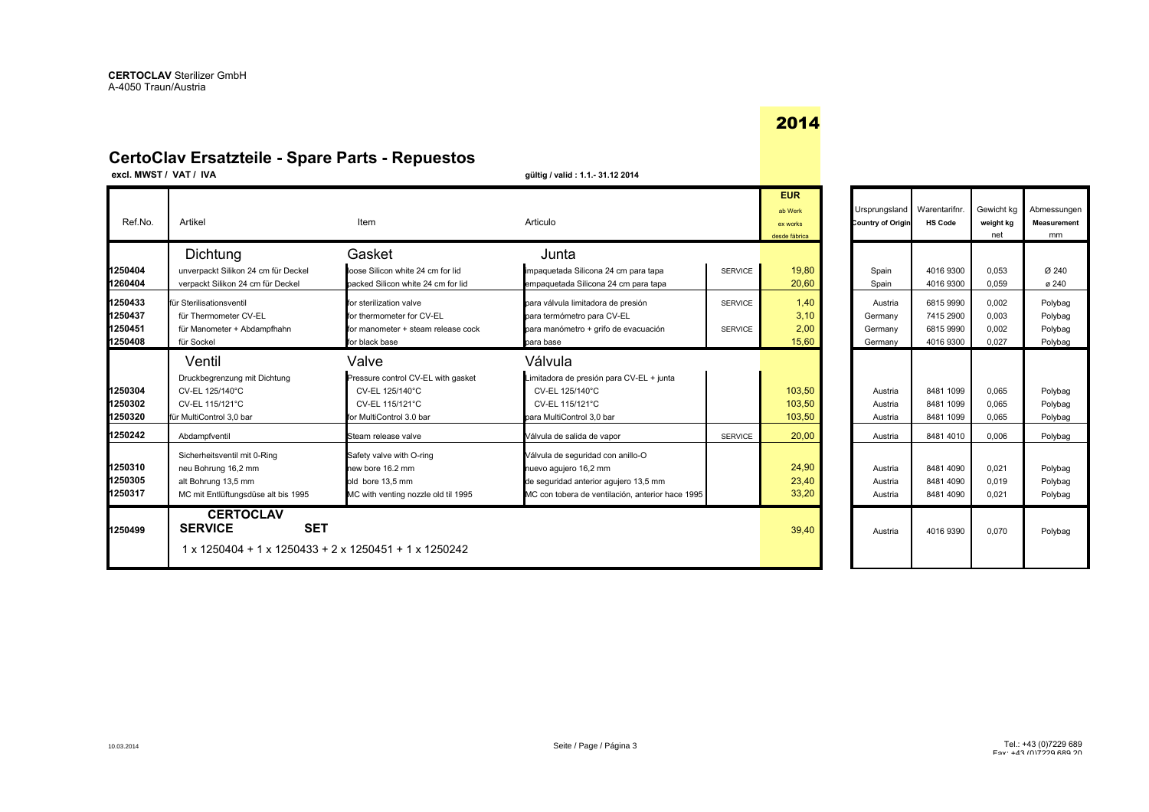## **CertoClav Ersatzteile - Spare Parts - Repuestos**

**excl. MWST / VAT / IVA gültig / valid : 1.1.- 31.12 2014**

| Ref.No.                                                        | Artikel                                                                                                                                                                                | Item                                                                                                                                                                                              | Articulo                                                                                                                                                                                                       |                                                    | <b>EUR</b><br>ab Werk<br>ex works<br>desde fábrica | Ursprungsland<br>Country of Origin                         | Warentarifnr.<br><b>HS Code</b>                                            | Gewicht kg<br>weight kg<br>net                     | Abmessunge<br>Measurement<br>mm                           |
|----------------------------------------------------------------|----------------------------------------------------------------------------------------------------------------------------------------------------------------------------------------|---------------------------------------------------------------------------------------------------------------------------------------------------------------------------------------------------|----------------------------------------------------------------------------------------------------------------------------------------------------------------------------------------------------------------|----------------------------------------------------|----------------------------------------------------|------------------------------------------------------------|----------------------------------------------------------------------------|----------------------------------------------------|-----------------------------------------------------------|
| 1250404<br>1260404<br>1250433<br>1250437<br>1250451<br>1250408 | Dichtung<br>unverpackt Silikon 24 cm für Deckel<br>verpackt Silikon 24 cm für Deckel<br>für Sterilisationsventil<br>für Thermometer CV-EL<br>für Manometer + Abdampfhahn<br>für Sockel | Gasket<br>loose Silicon white 24 cm for lid<br>backed Silicon white 24 cm for lid<br>for sterilization valve<br>for thermometer for CV-EL<br>for manometer + steam release cock<br>for black base | Junta<br>impaquetada Silicona 24 cm para tapa<br>empaquetada Silicona 24 cm para tapa<br>para válvula limitadora de presión<br>para termómetro para CV-EL<br>para manómetro + grifo de evacuación<br>para base | <b>SERVICE</b><br><b>SERVICE</b><br><b>SERVICE</b> | 19,80<br>20,60<br>1,40<br>3,10<br>2,00<br>15,60    | Spain<br>Spain<br>Austria<br>Germany<br>Germany<br>Germany | 4016 9300<br>4016 9300<br>6815 9990<br>7415 2900<br>6815 9990<br>4016 9300 | 0.053<br>0.059<br>0,002<br>0.003<br>0.002<br>0.027 | Ø 240<br>@240<br>Polybag<br>Polybag<br>Polybag<br>Polybag |
| 1250304<br>1250302<br>1250320<br>1250242                       | Ventil<br>Druckbegrenzung mit Dichtung<br>CV-EL 125/140°C<br>CV-EL 115/121°C<br>für MultiControl 3.0 bar<br>Abdampfventil                                                              | Valve<br>Pressure control CV-EL with gasket<br>CV-EL 125/140°C<br>CV-EL 115/121°C<br>for MultiControl 3.0 bar<br>Steam release valve                                                              | Válvula<br>Limitadora de presión para CV-EL + junta<br>CV-EL 125/140°C<br>CV-EL 115/121°C<br>para MultiControl 3.0 bar<br>Válvula de salida de vapor                                                           | <b>SERVICE</b>                                     | 103,50<br>103,50<br>103,50<br>20.00                | Austria<br>Austria<br>Austria<br>Austria                   | 8481 1099<br>8481 1099<br>8481 1099<br>8481 4010                           | 0.065<br>0.065<br>0.065<br>0,006                   | Polybag<br>Polybag<br>Polybag<br>Polybag                  |
| 1250310<br>1250305<br>1250317                                  | Sicherheitsventil mit 0-Ring<br>neu Bohrung 16,2 mm<br>alt Bohrung 13,5 mm<br>MC mit Entlüftungsdüse alt bis 1995                                                                      | Safety valve with O-ring<br>new bore 16.2 mm<br>old bore 13.5 mm<br>MC with venting nozzle old til 1995                                                                                           | Válvula de seguridad con anillo-O<br>nuevo aquiero 16,2 mm<br>de seguridad anterior agujero 13,5 mm<br>MC con tobera de ventilación, anterior hace 1995                                                        |                                                    | 24,90<br>23,40<br>33,20                            | Austria<br>Austria<br>Austria                              | 8481 4090<br>8481 4090<br>8481 4090                                        | 0.021<br>0,019<br>0.021                            | Polybag<br>Polybag<br>Polybag                             |
| 1250499                                                        | <b>CERTOCLAV</b><br><b>SET</b><br><b>SERVICE</b><br>1 x 1250404 + 1 x 1250433 + 2 x 1250451 + 1 x 1250242                                                                              |                                                                                                                                                                                                   |                                                                                                                                                                                                                |                                                    | 39,40                                              | Austria                                                    | 4016 9390                                                                  | 0.070                                              | Polybag                                                   |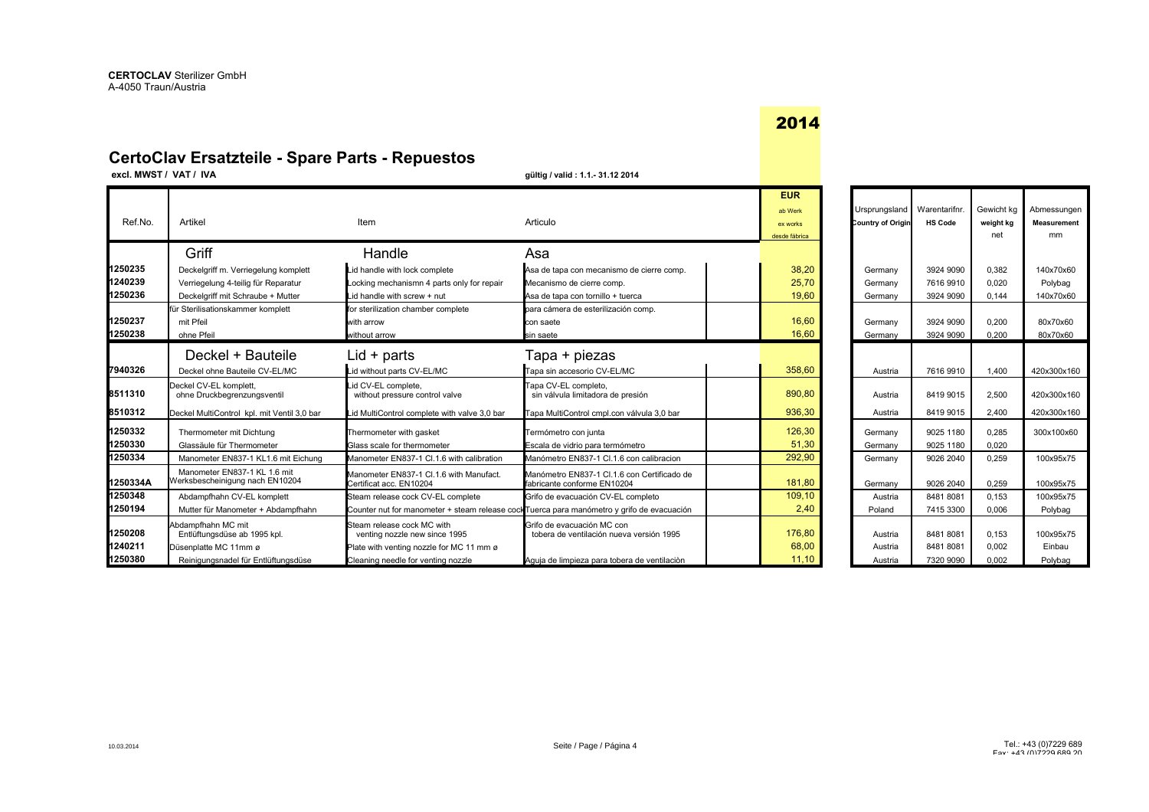## **CertoClav Ersatzteile - Spare Parts - Repuestos**

**excl. MWST / VAT / IVA gültig / valid : 1.1.- 31.12 2014**

|          |                                                                 |                                                                                            |                                                                            | <b>EUR</b>    |                   |                |            |                    |
|----------|-----------------------------------------------------------------|--------------------------------------------------------------------------------------------|----------------------------------------------------------------------------|---------------|-------------------|----------------|------------|--------------------|
|          |                                                                 |                                                                                            |                                                                            | ab Werk       | Ursprungsland     | Warentarifnr.  | Gewicht kg | Abmessungen        |
| Ref.No.  | Artikel                                                         | Item                                                                                       | Articulo                                                                   | ex works      | Country of Origin | <b>HS Code</b> | weight kg  | <b>Measurement</b> |
|          |                                                                 |                                                                                            |                                                                            | desde fábrica |                   |                | net        | mm                 |
|          | Griff                                                           | Handle                                                                                     | Asa                                                                        |               |                   |                |            |                    |
| 1250235  | Deckelgriff m. Verriegelung komplett                            | Lid handle with lock complete                                                              | Asa de tapa con mecanismo de cierre comp.                                  | 38,20         | Germany           | 3924 9090      | 0.382      | 140x70x60          |
| 1240239  | Verriegelung 4-teilig für Reparatur                             | Locking mechanismn 4 parts only for repair                                                 | Mecanismo de cierre comp.                                                  | 25,70         | Germany           | 7616 9910      | 0.020      | Polybag            |
| 1250236  | Deckelgriff mit Schraube + Mutter                               | Lid handle with screw + nut                                                                | Asa de tapa con tornillo + tuerca                                          | 19,60         | Germany           | 3924 9090      | 0.144      | 140x70x60          |
|          | für Sterilisationskammer komplett                               | for sterilization chamber complete                                                         | para cámera de esterilización comp.                                        |               |                   |                |            |                    |
| 1250237  | mit Pfeil                                                       | with arrow                                                                                 | con saete                                                                  | 16,60         | Germany           | 3924 9090      | 0.200      | 80x70x60           |
| 1250238  | ohne Pfeil                                                      | without arrow                                                                              | sin saete                                                                  | 16,60         | Germany           | 3924 9090      | 0.200      | 80x70x60           |
|          | Deckel + Bauteile                                               | Lid + parts                                                                                | Гара + piezas                                                              |               |                   |                |            |                    |
| 7940326  | Deckel ohne Bauteile CV-EL/MC                                   | Lid without parts CV-EL/MC                                                                 | Tapa sin accesorio CV-EL/MC                                                | 358,60        | Austria           | 7616 9910      | 1.400      | 420x300x160        |
| 8511310  | Deckel CV-EL komplett.<br>ohne Druckbegrenzungsventil           | Lid CV-EL complete.<br>without pressure control valve                                      | Tapa CV-EL completo,<br>sin válvula limitadora de presión                  | 890,80        | Austria           | 8419 9015      | 2,500      | 420x300x160        |
| 8510312  | Deckel MultiControl kpl. mit Ventil 3,0 bar                     | Lid MultiControl complete with valve 3,0 bar                                               | Tapa MultiControl cmpl.con válvula 3,0 bar                                 | 936,30        | Austria           | 8419 9015      | 2,400      | 420x300x160        |
| 1250332  | Thermometer mit Dichtung                                        | Thermometer with gasket                                                                    | Termómetro con junta                                                       | 126,30        | Germany           | 9025 1180      | 0,285      | 300x100x60         |
| 1250330  | Glassäule für Thermometer                                       | Glass scale for thermometer                                                                | Escala de vidrio para termómetro                                           | 51,30         | Germany           | 9025 1180      | 0.020      |                    |
| 1250334  | Manometer EN837-1 KL1.6 mit Eichung                             | Manometer EN837-1 Cl.1.6 with calibration                                                  | Manómetro EN837-1 Cl.1.6 con calibracion                                   | 292,90        | Germany           | 9026 2040      | 0.259      | 100x95x75          |
| 1250334A | Manometer EN837-1 KL 1.6 mit<br>Werksbescheinigung nach EN10204 | Manometer EN837-1 Cl.1.6 with Manufact.<br>Certificat acc. EN10204                         | Manómetro EN837-1 Cl.1.6 con Certificado de<br>fabricante conforme EN10204 | 181,80        | Germany           | 9026 2040      | 0,259      | 100x95x75          |
| 1250348  | Abdampfhahn CV-EL komplett                                      | Steam release cock CV-EL complete                                                          | Grifo de evacuación CV-EL completo                                         | 109,10        | Austria           | 84818081       | 0.153      | 100x95x75          |
| 1250194  | Mutter für Manometer + Abdampfhahn                              | Counter nut for manometer + steam release cock Tuerca para manómetro y grifo de evacuación |                                                                            | 2,40          | Poland            | 7415 3300      | 0.006      | Polybag            |
| 1250208  | Abdampfhahn MC mit<br>Entlüftungsdüse ab 1995 kpl.              | Steam release cock MC with<br>venting nozzle new since 1995                                | Grifo de evacuación MC con<br>tobera de ventilación nueva versión 1995     | 176,80        | Austria           | 84818081       | 0.153      | 100x95x75          |
| 1240211  | Düsenplatte MC 11mm ø                                           | Plate with venting nozzle for MC 11 mm ø                                                   |                                                                            | 68,00         | Austria           | 84818081       | 0.002      | Einbau             |
| 1250380  | Reinigungsnadel für Entlüftungsdüse                             | Cleaning needle for venting nozzle                                                         | Aquia de limpieza para tobera de ventilación                               | 11.10         | Austria           | 7320 9090      | 0.002      | Polybag            |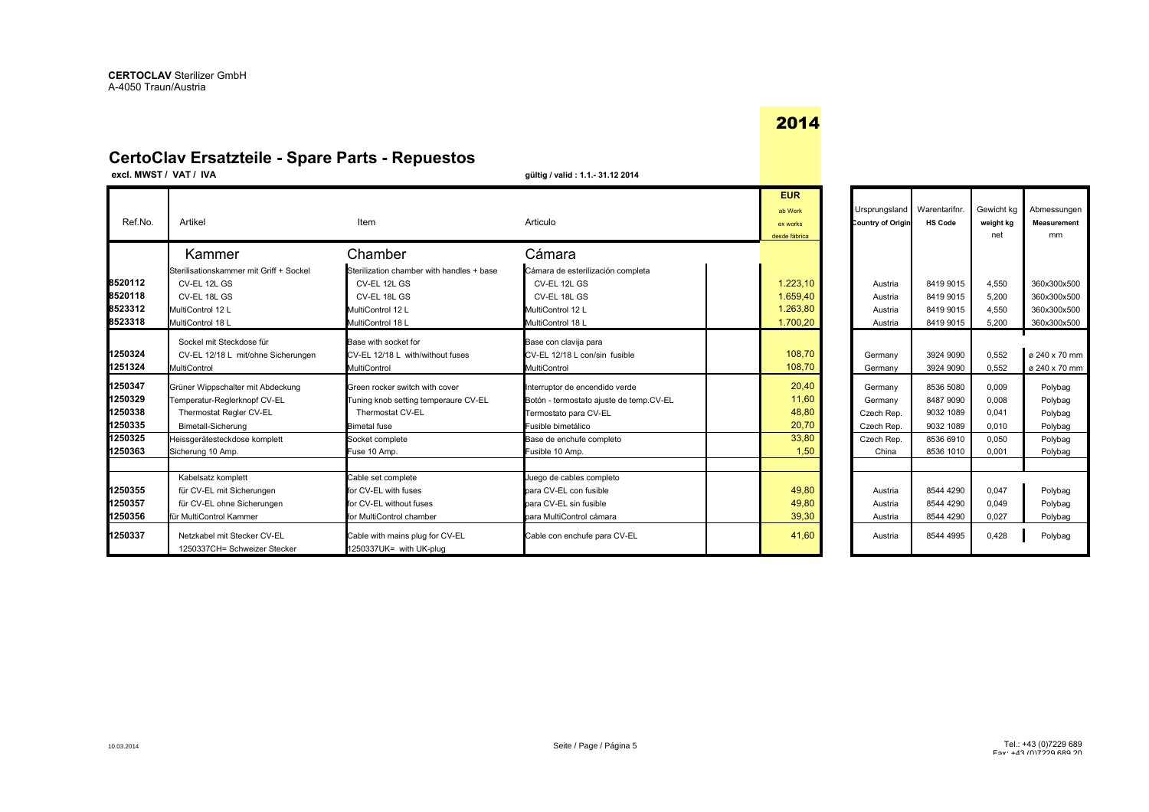## **CertoClav Ersatzteile - Spare Parts - Repuestos**

**excl. MWST / VAT / IVA gültig / valid : 1.1.- 31.12 2014**

| Ref.No.            | Artikel                                                     | Item                                                       | Articulo                                | <b>EUR</b><br>ab Werk<br>ex works<br>desde fábrica | Ursprungsland   Warentarifnr.<br>Country of Origin | <b>HS Code</b> | Gewicht kg<br>weight kg<br>net | Abmessungen<br><b>Measurement</b><br>mm |
|--------------------|-------------------------------------------------------------|------------------------------------------------------------|-----------------------------------------|----------------------------------------------------|----------------------------------------------------|----------------|--------------------------------|-----------------------------------------|
|                    | Kammer                                                      | Chamber                                                    | Cámara                                  |                                                    |                                                    |                |                                |                                         |
|                    | Sterilisationskammer mit Griff + Sockel                     | Sterilization chamber with handles + base                  | Cámara de esterilización completa       |                                                    |                                                    |                |                                |                                         |
| 8520112            | CV-EL 12L GS                                                | CV-EL 12L GS                                               | CV-EL 12L GS                            | 1.223.10                                           | Austria                                            | 8419 9015      | 4.550                          | 360x300x500                             |
| 8520118            | CV-EL 18L GS                                                | CV-EL 18L GS                                               | CV-EL 18L GS                            | 1.659.40                                           | Austria                                            | 8419 9015      | 5.200                          | 360x300x500                             |
| 8523312            | MultiControl 12 L                                           | MultiControl 12 L                                          | MultiControl 12 L                       | 1.263,80                                           | Austria                                            | 8419 9015      | 4.550                          | 360x300x500                             |
| 8523318            | MultiControl 18 L                                           | MultiControl 18 L                                          | MultiControl 18 L                       | 1.700,20                                           | Austria                                            | 8419 9015      | 5.200                          | 360x300x500                             |
|                    | Sockel mit Steckdose für                                    | Base with socket for                                       | Base con clavija para                   |                                                    |                                                    |                |                                |                                         |
| 1250324            | CV-EL 12/18 L mit/ohne Sicherungen                          | CV-EL 12/18 L with/without fuses                           | CV-EL 12/18 L con/sin fusible           | 108,70                                             | Germany                                            | 3924 9090      | 0,552                          | ø 240 x 70 mm                           |
| 1251324            | MultiControl                                                | MultiControl                                               | MultiControl                            | 108,70                                             | Germany                                            | 3924 9090      | 0.552                          | ø 240 x 70 mm                           |
| 1250347            |                                                             |                                                            |                                         |                                                    |                                                    |                |                                |                                         |
| 1250329            | Grüner Wippschalter mit Abdeckung                           | Green rocker switch with cover                             | Interruptor de encendido verde          | 20,40                                              | Germany                                            | 8536 5080      | 0.009                          | Polybag                                 |
| 1250338            | Temperatur-Reglerknopf CV-EL                                | Tuning knob setting temperaure CV-EL                       | Botón - termostato ajuste de temp.CV-EL | 11,60                                              | Germany                                            | 8487 9090      | 0,008                          | Polybag                                 |
|                    | Thermostat Regler CV-EL                                     | Thermostat CV-EL                                           | Termostato para CV-EL                   | 48,80                                              | Czech Rep.                                         | 9032 1089      | 0.041                          | Polybag                                 |
| 1250335<br>1250325 | <b>Bimetall-Sicherung</b>                                   | Bimetal fuse                                               | Fusible bimetálico                      | 20,70                                              | Czech Rep.                                         | 9032 1089      | 0.010                          | Polybag                                 |
|                    | Heissgerätesteckdose komplett                               | Socket complete                                            | Base de enchufe completo                | 33,80                                              | Czech Rep.                                         | 8536 6910      | 0.050                          | Polybag                                 |
| 1250363            | Sicherung 10 Amp.                                           | Fuse 10 Amp.                                               | Fusible 10 Amp.                         | 1,50                                               | China                                              | 8536 1010      | 0,001                          | Polybag                                 |
|                    | Kabelsatz komplett                                          | Cable set complete                                         | Juego de cables completo                |                                                    |                                                    |                |                                |                                         |
| 1250355            | für CV-EL mit Sicherungen                                   | for CV-EL with fuses                                       | para CV-EL con fusible                  | 49,80                                              | Austria                                            | 8544 4290      | 0.047                          | Polybag                                 |
| 1250357            | für CV-EL ohne Sicherungen                                  | for CV-EL without fuses                                    | para CV-EL sin fusible                  | 49,80                                              | Austria                                            | 8544 4290      | 0.049                          | Polybag                                 |
| 1250356            | für MultiControl Kammer                                     | for MultiControl chamber                                   | para MultiControl cámara                | 39,30                                              | Austria                                            | 8544 4290      | 0.027                          | Polybag                                 |
| 1250337            | Netzkabel mit Stecker CV-EL<br>1250337CH= Schweizer Stecker | Cable with mains plug for CV-EL<br>1250337UK= with UK-plug | Cable con enchufe para CV-EL            | 41,60                                              | Austria                                            | 8544 4995      | 0.428                          | Polybag                                 |